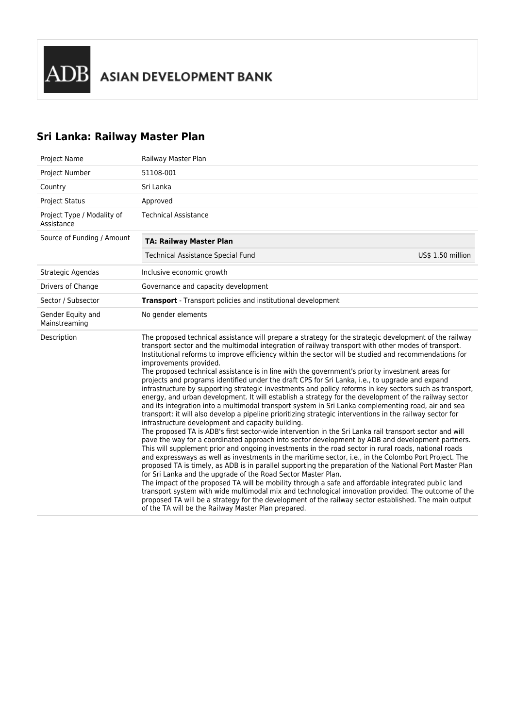# **Sri Lanka: Railway Master Plan**

| Project Name                             | Railway Master Plan                                                                                                                                                                                                                                                                                                                                                                                                                                                                                                                                                                                                                                                                                                                                                                                                                                                                                                                                                                                                                                                                                                                                                                                                                                                                                                                                                                                                                                                                                                                                                                                                                                                                                                                                                                                                                                                                                                                                                                                                                             |
|------------------------------------------|-------------------------------------------------------------------------------------------------------------------------------------------------------------------------------------------------------------------------------------------------------------------------------------------------------------------------------------------------------------------------------------------------------------------------------------------------------------------------------------------------------------------------------------------------------------------------------------------------------------------------------------------------------------------------------------------------------------------------------------------------------------------------------------------------------------------------------------------------------------------------------------------------------------------------------------------------------------------------------------------------------------------------------------------------------------------------------------------------------------------------------------------------------------------------------------------------------------------------------------------------------------------------------------------------------------------------------------------------------------------------------------------------------------------------------------------------------------------------------------------------------------------------------------------------------------------------------------------------------------------------------------------------------------------------------------------------------------------------------------------------------------------------------------------------------------------------------------------------------------------------------------------------------------------------------------------------------------------------------------------------------------------------------------------------|
| Project Number                           | 51108-001                                                                                                                                                                                                                                                                                                                                                                                                                                                                                                                                                                                                                                                                                                                                                                                                                                                                                                                                                                                                                                                                                                                                                                                                                                                                                                                                                                                                                                                                                                                                                                                                                                                                                                                                                                                                                                                                                                                                                                                                                                       |
| Country                                  | Sri Lanka                                                                                                                                                                                                                                                                                                                                                                                                                                                                                                                                                                                                                                                                                                                                                                                                                                                                                                                                                                                                                                                                                                                                                                                                                                                                                                                                                                                                                                                                                                                                                                                                                                                                                                                                                                                                                                                                                                                                                                                                                                       |
| <b>Project Status</b>                    | Approved                                                                                                                                                                                                                                                                                                                                                                                                                                                                                                                                                                                                                                                                                                                                                                                                                                                                                                                                                                                                                                                                                                                                                                                                                                                                                                                                                                                                                                                                                                                                                                                                                                                                                                                                                                                                                                                                                                                                                                                                                                        |
| Project Type / Modality of<br>Assistance | <b>Technical Assistance</b>                                                                                                                                                                                                                                                                                                                                                                                                                                                                                                                                                                                                                                                                                                                                                                                                                                                                                                                                                                                                                                                                                                                                                                                                                                                                                                                                                                                                                                                                                                                                                                                                                                                                                                                                                                                                                                                                                                                                                                                                                     |
| Source of Funding / Amount               | <b>TA: Railway Master Plan</b>                                                                                                                                                                                                                                                                                                                                                                                                                                                                                                                                                                                                                                                                                                                                                                                                                                                                                                                                                                                                                                                                                                                                                                                                                                                                                                                                                                                                                                                                                                                                                                                                                                                                                                                                                                                                                                                                                                                                                                                                                  |
|                                          | <b>Technical Assistance Special Fund</b><br>US\$ 1.50 million                                                                                                                                                                                                                                                                                                                                                                                                                                                                                                                                                                                                                                                                                                                                                                                                                                                                                                                                                                                                                                                                                                                                                                                                                                                                                                                                                                                                                                                                                                                                                                                                                                                                                                                                                                                                                                                                                                                                                                                   |
| Strategic Agendas                        | Inclusive economic growth                                                                                                                                                                                                                                                                                                                                                                                                                                                                                                                                                                                                                                                                                                                                                                                                                                                                                                                                                                                                                                                                                                                                                                                                                                                                                                                                                                                                                                                                                                                                                                                                                                                                                                                                                                                                                                                                                                                                                                                                                       |
| Drivers of Change                        | Governance and capacity development                                                                                                                                                                                                                                                                                                                                                                                                                                                                                                                                                                                                                                                                                                                                                                                                                                                                                                                                                                                                                                                                                                                                                                                                                                                                                                                                                                                                                                                                                                                                                                                                                                                                                                                                                                                                                                                                                                                                                                                                             |
| Sector / Subsector                       | Transport - Transport policies and institutional development                                                                                                                                                                                                                                                                                                                                                                                                                                                                                                                                                                                                                                                                                                                                                                                                                                                                                                                                                                                                                                                                                                                                                                                                                                                                                                                                                                                                                                                                                                                                                                                                                                                                                                                                                                                                                                                                                                                                                                                    |
| Gender Equity and<br>Mainstreaming       | No gender elements                                                                                                                                                                                                                                                                                                                                                                                                                                                                                                                                                                                                                                                                                                                                                                                                                                                                                                                                                                                                                                                                                                                                                                                                                                                                                                                                                                                                                                                                                                                                                                                                                                                                                                                                                                                                                                                                                                                                                                                                                              |
| Description                              | The proposed technical assistance will prepare a strategy for the strategic development of the railway<br>transport sector and the multimodal integration of railway transport with other modes of transport.<br>Institutional reforms to improve efficiency within the sector will be studied and recommendations for<br>improvements provided.<br>The proposed technical assistance is in line with the government's priority investment areas for<br>projects and programs identified under the draft CPS for Sri Lanka, i.e., to upgrade and expand<br>infrastructure by supporting strategic investments and policy reforms in key sectors such as transport,<br>energy, and urban development. It will establish a strategy for the development of the railway sector<br>and its integration into a multimodal transport system in Sri Lanka complementing road, air and sea<br>transport: it will also develop a pipeline prioritizing strategic interventions in the railway sector for<br>infrastructure development and capacity building.<br>The proposed TA is ADB's first sector-wide intervention in the Sri Lanka rail transport sector and will<br>pave the way for a coordinated approach into sector development by ADB and development partners.<br>This will supplement prior and ongoing investments in the road sector in rural roads, national roads<br>and expressways as well as investments in the maritime sector, i.e., in the Colombo Port Project. The<br>proposed TA is timely, as ADB is in parallel supporting the preparation of the National Port Master Plan<br>for Sri Lanka and the upgrade of the Road Sector Master Plan.<br>The impact of the proposed TA will be mobility through a safe and affordable integrated public land<br>transport system with wide multimodal mix and technological innovation provided. The outcome of the<br>proposed TA will be a strategy for the development of the railway sector established. The main output<br>of the TA will be the Railway Master Plan prepared. |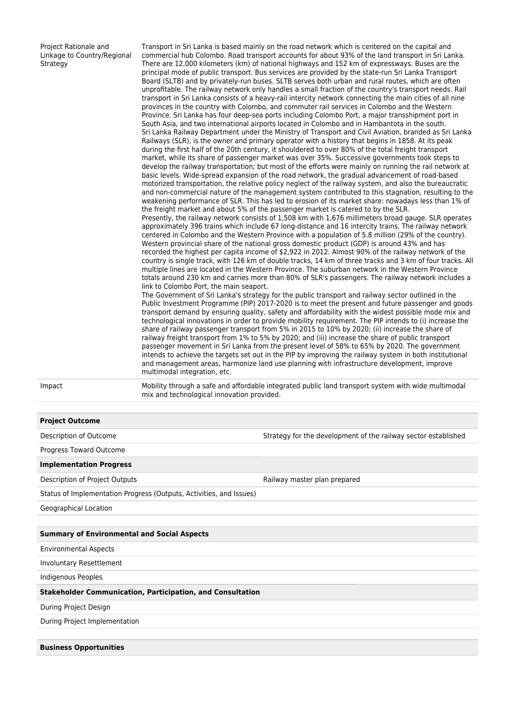Project Rationale and Linkage to Country/Regional **Strategy** 

Transport in Sri Lanka is based mainly on the road network which is centered on the capital and commercial hub Colombo. Road transport accounts for about 93% of the land transport in Sri Lanka. There are 12,000 kilometers (km) of national highways and 152 km of expressways. Buses are the principal mode of public transport. Bus services are provided by the state-run Sri Lanka Transport Board (SLTB) and by privately-run buses. SLTB serves both urban and rural routes, which are often unprofitable. The railway network only handles a small fraction of the country's transport needs. Rail transport in Sri Lanka consists of a heavy-rail intercity network connecting the main cities of all nine provinces in the country with Colombo, and commuter rail services in Colombo and the Western Province. Sri Lanka has four deep-sea ports including Colombo Port, a major transshipment port in South Asia, and two international airports located in Colombo and in Hambantota in the south. Sri Lanka Railway Department under the Ministry of Transport and Civil Aviation, branded as Sri Lanka Railways (SLR), is the owner and primary operator with a history that begins in 1858. At its peak during the first half of the 20th century, it shouldered to over 80% of the total freight transport market, while its share of passenger market was over 35%. Successive governments took steps to develop the railway transportation; but most of the efforts were mainly on running the rail network at basic levels. Wide-spread expansion of the road network, the gradual advancement of road-based motorized transportation, the relative policy neglect of the railway system, and also the bureaucratic and non-commercial nature of the management system contributed to this stagnation, resulting to the weakening performance of SLR. This has led to erosion of its market share: nowadays less than 1% of the freight market and about 5% of the passenger market is catered to by the SLR. Presently, the railway network consists of 1,508 km with 1,676 millimeters broad gauge. SLR operates approximately 396 trains which include 67 long-distance and 16 intercity trains. The railway network centered in Colombo and the Western Province with a population of 5.8 million (29% of the country). Western provincial share of the national gross domestic product (GDP) is around 43% and has recorded the highest per capita income of \$2,922 in 2012. Almost 90% of the railway network of the country is single track, with 126 km of double tracks, 14 km of three tracks and 3 km of four tracks. All multiple lines are located in the Western Province. The suburban network in the Western Province totals around 230 km and carries more than 80% of SLR's passengers. The railway network includes a link to Colombo Port, the main seaport. The Government of Sri Lanka's strategy for the public transport and railway sector outlined in the Public Investment Programme (PIP) 2017-2020 is to meet the present and future passenger and goods transport demand by ensuring quality, safety and affordability with the widest possible mode mix and technological innovations in order to provide mobility requirement. The PIP intends to (i) increase the share of railway passenger transport from 5% in 2015 to 10% by 2020; (ii) increase the share of railway freight transport from 1% to 5% by 2020; and (iii) increase the share of public transport

Impact Mobility through a safe and affordable integrated public land transport system with wide multimodal mix and technological innovation provided.

passenger movement in Sri Lanka from the present level of 58% to 65% by 2020. The government intends to achieve the targets set out in the PIP by improving the railway system in both institutional and management areas, harmonize land use planning with infrastructure development, improve

# **Project Outcome**

Description of Outcome Strategy for the development of the railway sector established

Progress Toward Outcome

#### **Implementation Progress**

Description of Project Outputs **Railway master plan prepared** 

Status of Implementation Progress (Outputs, Activities, and Issues)

multimodal integration, etc.

Geographical Location

### **Summary of Environmental and Social Aspects**

Environmental Aspects

Involuntary Resettlement

Indigenous Peoples

#### **Stakeholder Communication, Participation, and Consultation**

During Project Design

During Project Implementation

## **Business Opportunities**